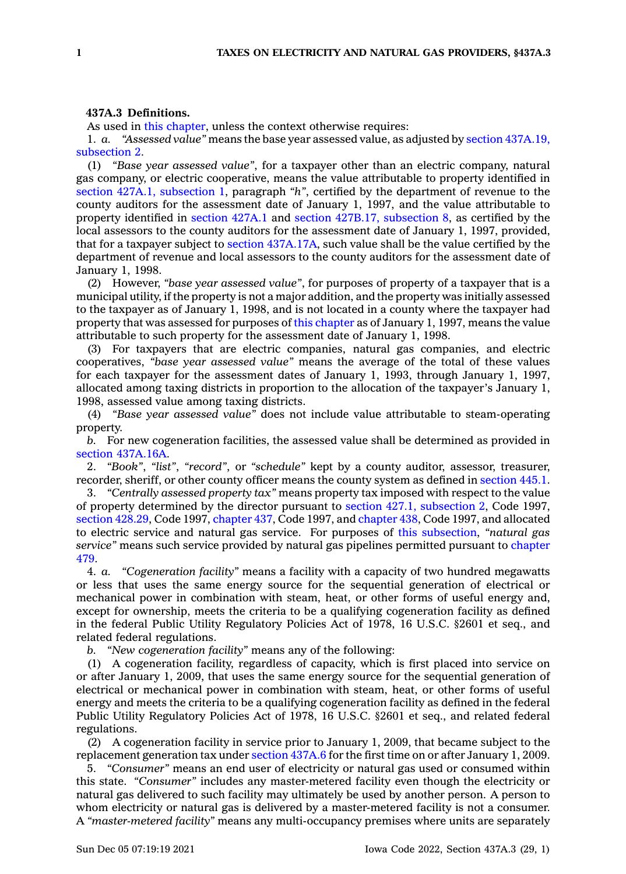## **437A.3 Definitions.**

As used in this [chapter](https://www.legis.iowa.gov/docs/code//437A.pdf), unless the context otherwise requires:

1. *a. "Assessed value"* means the base year assessed value, as adjusted by section [437A.19,](https://www.legis.iowa.gov/docs/code/437A.19.pdf) [subsection](https://www.legis.iowa.gov/docs/code/437A.19.pdf) 2.

(1) *"Base year assessed value"*, for <sup>a</sup> taxpayer other than an electric company, natural gas company, or electric cooperative, means the value attributable to property identified in section 427A.1, [subsection](https://www.legis.iowa.gov/docs/code/427A.1.pdf) 1, paragraph *"h"*, certified by the department of revenue to the county auditors for the assessment date of January 1, 1997, and the value attributable to property identified in [section](https://www.legis.iowa.gov/docs/code/427A.1.pdf) 427A.1 and section 427B.17, [subsection](https://www.legis.iowa.gov/docs/code/427B.17.pdf) 8, as certified by the local assessors to the county auditors for the assessment date of January 1, 1997, provided, that for <sup>a</sup> taxpayer subject to section [437A.17A](https://www.legis.iowa.gov/docs/code/437A.17A.pdf), such value shall be the value certified by the department of revenue and local assessors to the county auditors for the assessment date of January 1, 1998.

(2) However, *"base year assessed value"*, for purposes of property of <sup>a</sup> taxpayer that is <sup>a</sup> municipal utility, if the property is not <sup>a</sup> major addition, and the property was initially assessed to the taxpayer as of January 1, 1998, and is not located in <sup>a</sup> county where the taxpayer had property that was assessed for purposes of this [chapter](https://www.legis.iowa.gov/docs/code//437A.pdf) as of January 1, 1997, means the value attributable to such property for the assessment date of January 1, 1998.

(3) For taxpayers that are electric companies, natural gas companies, and electric cooperatives, *"base year assessed value"* means the average of the total of these values for each taxpayer for the assessment dates of January 1, 1993, through January 1, 1997, allocated among taxing districts in proportion to the allocation of the taxpayer's January 1, 1998, assessed value among taxing districts.

(4) *"Base year assessed value"* does not include value attributable to steam-operating property.

*b.* For new cogeneration facilities, the assessed value shall be determined as provided in section [437A.16A](https://www.legis.iowa.gov/docs/code/437A.16A.pdf).

2. *"Book"*, *"list"*, *"record"*, or *"schedule"* kept by <sup>a</sup> county auditor, assessor, treasurer, recorder, sheriff, or other county officer means the county system as defined in [section](https://www.legis.iowa.gov/docs/code/445.1.pdf) 445.1.

3. *"Centrally assessed property tax"* means property tax imposed with respect to the value of property determined by the director pursuant to section 427.1, [subsection](https://www.legis.iowa.gov/docs/code/1997/427.1.pdf) 2, Code 1997, section [428.29](https://www.legis.iowa.gov/docs/code/1997/428.29.pdf), Code 1997, [chapter](https://www.legis.iowa.gov/docs/code/1997/437.pdf) 437, Code 1997, and [chapter](https://www.legis.iowa.gov/docs/code/1997/438.pdf) 438, Code 1997, and allocated to electric service and natural gas service. For purposes of this [subsection](https://www.legis.iowa.gov/docs/code/437A.3.pdf), *"natural gas service"* means such service provided by natural gas pipelines permitted pursuant to [chapter](https://www.legis.iowa.gov/docs/code//479.pdf) [479](https://www.legis.iowa.gov/docs/code//479.pdf).

4. *a. "Cogeneration facility"* means <sup>a</sup> facility with <sup>a</sup> capacity of two hundred megawatts or less that uses the same energy source for the sequential generation of electrical or mechanical power in combination with steam, heat, or other forms of useful energy and, except for ownership, meets the criteria to be <sup>a</sup> qualifying cogeneration facility as defined in the federal Public Utility Regulatory Policies Act of 1978, 16 U.S.C. §2601 et seq., and related federal regulations.

*b. "New cogeneration facility"* means any of the following:

(1) A cogeneration facility, regardless of capacity, which is first placed into service on or after January 1, 2009, that uses the same energy source for the sequential generation of electrical or mechanical power in combination with steam, heat, or other forms of useful energy and meets the criteria to be <sup>a</sup> qualifying cogeneration facility as defined in the federal Public Utility Regulatory Policies Act of 1978, 16 U.S.C. §2601 et seq., and related federal regulations.

(2) A cogeneration facility in service prior to January 1, 2009, that became subject to the replacement generation tax under [section](https://www.legis.iowa.gov/docs/code/437A.6.pdf) 437A.6 for the first time on or after January 1, 2009.

5. *"Consumer"* means an end user of electricity or natural gas used or consumed within this state. *"Consumer"* includes any master-metered facility even though the electricity or natural gas delivered to such facility may ultimately be used by another person. A person to whom electricity or natural gas is delivered by <sup>a</sup> master-metered facility is not <sup>a</sup> consumer. A *"master-metered facility"* means any multi-occupancy premises where units are separately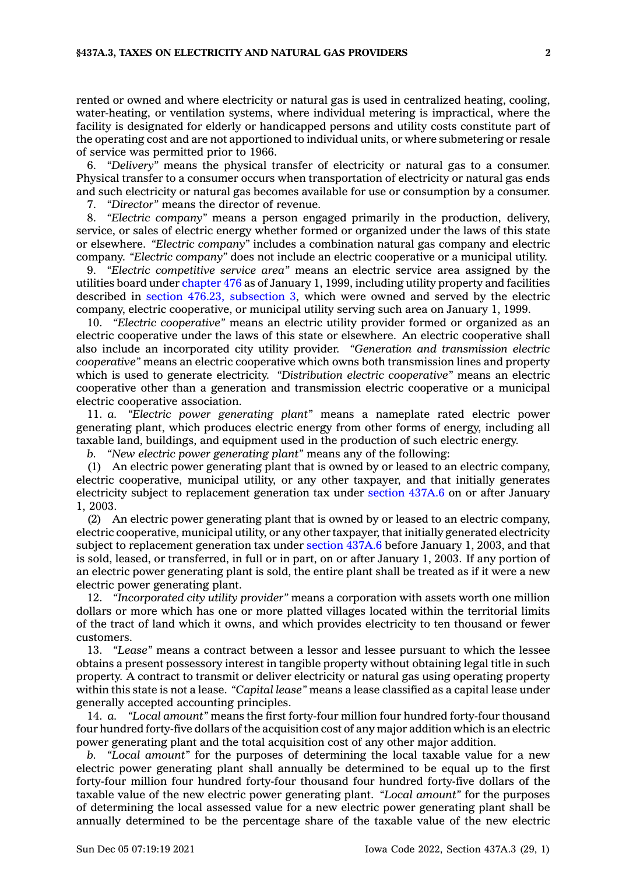rented or owned and where electricity or natural gas is used in centralized heating, cooling, water-heating, or ventilation systems, where individual metering is impractical, where the facility is designated for elderly or handicapped persons and utility costs constitute part of the operating cost and are not apportioned to individual units, or where submetering or resale of service was permitted prior to 1966.

6. *"Delivery"* means the physical transfer of electricity or natural gas to <sup>a</sup> consumer. Physical transfer to <sup>a</sup> consumer occurs when transportation of electricity or natural gas ends and such electricity or natural gas becomes available for use or consumption by <sup>a</sup> consumer.

7. *"Director"* means the director of revenue.

8. *"Electric company"* means <sup>a</sup> person engaged primarily in the production, delivery, service, or sales of electric energy whether formed or organized under the laws of this state or elsewhere. *"Electric company"* includes <sup>a</sup> combination natural gas company and electric company. *"Electric company"* does not include an electric cooperative or <sup>a</sup> municipal utility.

9. *"Electric competitive service area"* means an electric service area assigned by the utilities board under [chapter](https://www.legis.iowa.gov/docs/code//476.pdf) 476 as of January 1, 1999, including utility property and facilities described in section 476.23, [subsection](https://www.legis.iowa.gov/docs/code/476.23.pdf) 3, which were owned and served by the electric company, electric cooperative, or municipal utility serving such area on January 1, 1999.

10. *"Electric cooperative"* means an electric utility provider formed or organized as an electric cooperative under the laws of this state or elsewhere. An electric cooperative shall also include an incorporated city utility provider. *"Generation and transmission electric cooperative"* means an electric cooperative which owns both transmission lines and property which is used to generate electricity. *"Distribution electric cooperative"* means an electric cooperative other than <sup>a</sup> generation and transmission electric cooperative or <sup>a</sup> municipal electric cooperative association.

11. *a. "Electric power generating plant"* means <sup>a</sup> nameplate rated electric power generating plant, which produces electric energy from other forms of energy, including all taxable land, buildings, and equipment used in the production of such electric energy.

*b. "New electric power generating plant"* means any of the following:

(1) An electric power generating plant that is owned by or leased to an electric company, electric cooperative, municipal utility, or any other taxpayer, and that initially generates electricity subject to replacement generation tax under [section](https://www.legis.iowa.gov/docs/code/437A.6.pdf) 437A.6 on or after January 1, 2003.

(2) An electric power generating plant that is owned by or leased to an electric company, electric cooperative, municipal utility, or any other taxpayer, that initially generated electricity subject to replacement generation tax under [section](https://www.legis.iowa.gov/docs/code/437A.6.pdf) 437A.6 before January 1, 2003, and that is sold, leased, or transferred, in full or in part, on or after January 1, 2003. If any portion of an electric power generating plant is sold, the entire plant shall be treated as if it were <sup>a</sup> new electric power generating plant.

12. *"Incorporated city utility provider"* means <sup>a</sup> corporation with assets worth one million dollars or more which has one or more platted villages located within the territorial limits of the tract of land which it owns, and which provides electricity to ten thousand or fewer customers.

13. *"Lease"* means <sup>a</sup> contract between <sup>a</sup> lessor and lessee pursuant to which the lessee obtains <sup>a</sup> present possessory interest in tangible property without obtaining legal title in such property. A contract to transmit or deliver electricity or natural gas using operating property within this state is not <sup>a</sup> lease. *"Capital lease"* means <sup>a</sup> lease classified as <sup>a</sup> capital lease under generally accepted accounting principles.

14. *a. "Local amount"* means the first forty-four million four hundred forty-four thousand four hundred forty-five dollars of the acquisition cost of any major addition which is an electric power generating plant and the total acquisition cost of any other major addition.

*b. "Local amount"* for the purposes of determining the local taxable value for <sup>a</sup> new electric power generating plant shall annually be determined to be equal up to the first forty-four million four hundred forty-four thousand four hundred forty-five dollars of the taxable value of the new electric power generating plant. *"Local amount"* for the purposes of determining the local assessed value for <sup>a</sup> new electric power generating plant shall be annually determined to be the percentage share of the taxable value of the new electric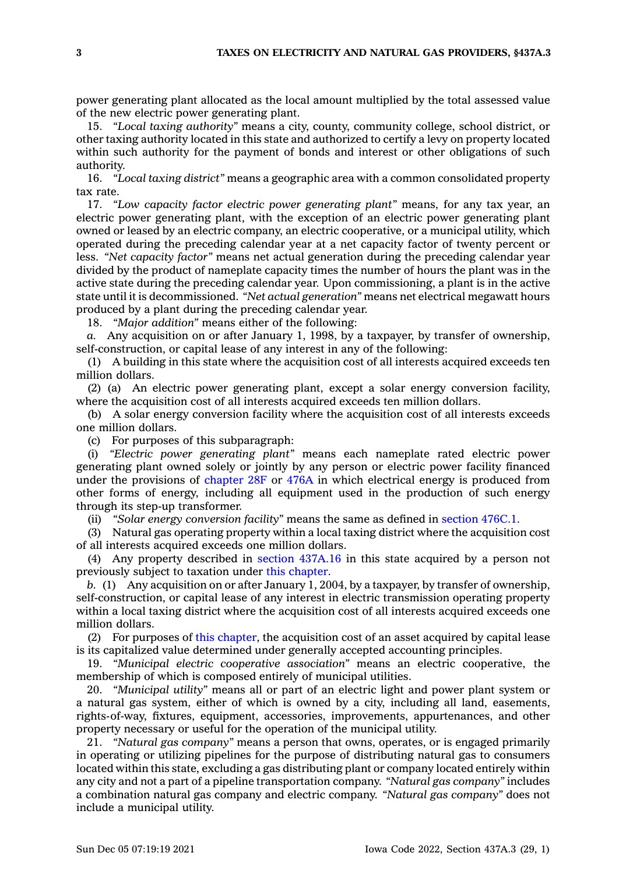power generating plant allocated as the local amount multiplied by the total assessed value of the new electric power generating plant.

15. *"Local taxing authority"* means <sup>a</sup> city, county, community college, school district, or other taxing authority located in this state and authorized to certify <sup>a</sup> levy on property located within such authority for the payment of bonds and interest or other obligations of such authority.

16. *"Local taxing district"* means <sup>a</sup> geographic area with <sup>a</sup> common consolidated property tax rate.

17. *"Low capacity factor electric power generating plant"* means, for any tax year, an electric power generating plant, with the exception of an electric power generating plant owned or leased by an electric company, an electric cooperative, or <sup>a</sup> municipal utility, which operated during the preceding calendar year at <sup>a</sup> net capacity factor of twenty percent or less. *"Net capacity factor"* means net actual generation during the preceding calendar year divided by the product of nameplate capacity times the number of hours the plant was in the active state during the preceding calendar year. Upon commissioning, <sup>a</sup> plant is in the active state until it is decommissioned. *"Net actual generation"* means net electrical megawatt hours produced by <sup>a</sup> plant during the preceding calendar year.

18. *"Major addition"* means either of the following:

*a.* Any acquisition on or after January 1, 1998, by <sup>a</sup> taxpayer, by transfer of ownership, self-construction, or capital lease of any interest in any of the following:

(1) A building in this state where the acquisition cost of all interests acquired exceeds ten million dollars.

(2) (a) An electric power generating plant, except <sup>a</sup> solar energy conversion facility, where the acquisition cost of all interests acquired exceeds ten million dollars.

(b) A solar energy conversion facility where the acquisition cost of all interests exceeds one million dollars.

(c) For purposes of this subparagraph:

(i) *"Electric power generating plant"* means each nameplate rated electric power generating plant owned solely or jointly by any person or electric power facility financed under the provisions of [chapter](https://www.legis.iowa.gov/docs/code//28F.pdf) 28F or [476A](https://www.legis.iowa.gov/docs/code//476A.pdf) in which electrical energy is produced from other forms of energy, including all equipment used in the production of such energy through its step-up transformer.

(ii) *"Solar energy conversion facility"* means the same as defined in [section](https://www.legis.iowa.gov/docs/code/476C.1.pdf) 476C.1.

(3) Natural gas operating property within <sup>a</sup> local taxing district where the acquisition cost of all interests acquired exceeds one million dollars.

(4) Any property described in section [437A.16](https://www.legis.iowa.gov/docs/code/437A.16.pdf) in this state acquired by <sup>a</sup> person not previously subject to taxation under this [chapter](https://www.legis.iowa.gov/docs/code//437A.pdf).

*b.* (1) Any acquisition on or after January 1, 2004, by <sup>a</sup> taxpayer, by transfer of ownership, self-construction, or capital lease of any interest in electric transmission operating property within <sup>a</sup> local taxing district where the acquisition cost of all interests acquired exceeds one million dollars.

(2) For purposes of this [chapter](https://www.legis.iowa.gov/docs/code//437A.pdf), the acquisition cost of an asset acquired by capital lease is its capitalized value determined under generally accepted accounting principles.

19. *"Municipal electric cooperative association"* means an electric cooperative, the membership of which is composed entirely of municipal utilities.

20. *"Municipal utility"* means all or part of an electric light and power plant system or <sup>a</sup> natural gas system, either of which is owned by <sup>a</sup> city, including all land, easements, rights-of-way, fixtures, equipment, accessories, improvements, appurtenances, and other property necessary or useful for the operation of the municipal utility.

21. *"Natural gas company"* means <sup>a</sup> person that owns, operates, or is engaged primarily in operating or utilizing pipelines for the purpose of distributing natural gas to consumers located within this state, excluding <sup>a</sup> gas distributing plant or company located entirely within any city and not <sup>a</sup> part of <sup>a</sup> pipeline transportation company. *"Natural gas company"* includes <sup>a</sup> combination natural gas company and electric company. *"Natural gas company"* does not include <sup>a</sup> municipal utility.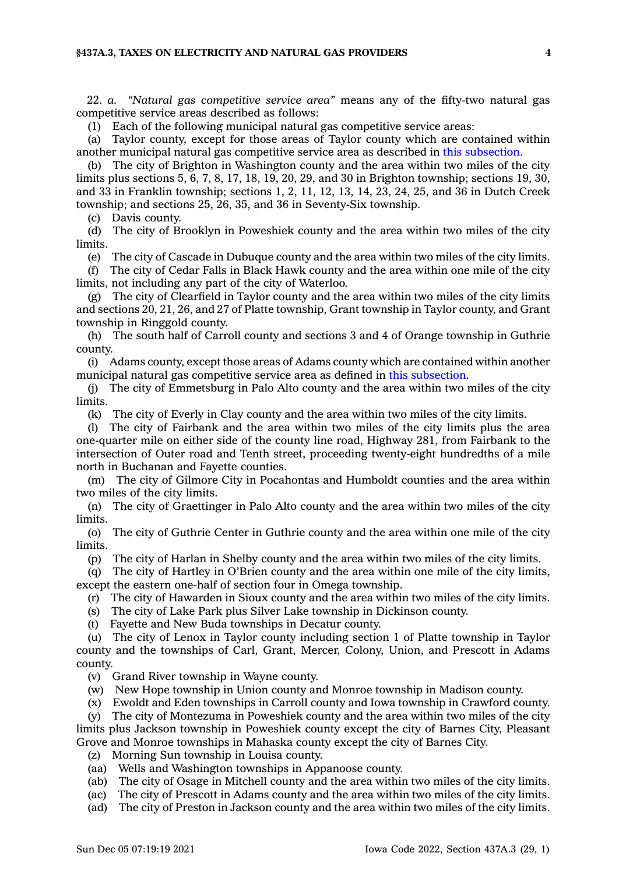22. *a. "Natural gas competitive service area"* means any of the fifty-two natural gas competitive service areas described as follows:

(1) Each of the following municipal natural gas competitive service areas:

(a) Taylor county, except for those areas of Taylor county which are contained within another municipal natural gas competitive service area as described in this [subsection](https://www.legis.iowa.gov/docs/code/437A.3.pdf).

(b) The city of Brighton in Washington county and the area within two miles of the city limits plus sections 5, 6, 7, 8, 17, 18, 19, 20, 29, and 30 in Brighton township; sections 19, 30, and 33 in Franklin township; sections 1, 2, 11, 12, 13, 14, 23, 24, 25, and 36 in Dutch Creek township; and sections 25, 26, 35, and 36 in Seventy-Six township.

(c) Davis county.

(d) The city of Brooklyn in Poweshiek county and the area within two miles of the city limits.

(e) The city of Cascade in Dubuque county and the area within two miles of the city limits.

(f) The city of Cedar Falls in Black Hawk county and the area within one mile of the city limits, not including any part of the city of Waterloo.

(g) The city of Clearfield in Taylor county and the area within two miles of the city limits and sections 20, 21, 26, and 27 of Platte township, Grant township in Taylor county, and Grant township in Ringgold county.

(h) The south half of Carroll county and sections 3 and 4 of Orange township in Guthrie county.

(i) Adams county, except those areas of Adams county which are contained within another municipal natural gas competitive service area as defined in this [subsection](https://www.legis.iowa.gov/docs/code/437A.3.pdf).

(j) The city of Emmetsburg in Palo Alto county and the area within two miles of the city limits.

(k) The city of Everly in Clay county and the area within two miles of the city limits.

(l) The city of Fairbank and the area within two miles of the city limits plus the area one-quarter mile on either side of the county line road, Highway 281, from Fairbank to the intersection of Outer road and Tenth street, proceeding twenty-eight hundredths of <sup>a</sup> mile north in Buchanan and Fayette counties.

(m) The city of Gilmore City in Pocahontas and Humboldt counties and the area within two miles of the city limits.

(n) The city of Graettinger in Palo Alto county and the area within two miles of the city limits.

(o) The city of Guthrie Center in Guthrie county and the area within one mile of the city limits.

(p) The city of Harlan in Shelby county and the area within two miles of the city limits.

(q) The city of Hartley in O'Brien county and the area within one mile of the city limits, except the eastern one-half of section four in Omega township.

(r) The city of Hawarden in Sioux county and the area within two miles of the city limits.

(s) The city of Lake Park plus Silver Lake township in Dickinson county.

(t) Fayette and New Buda townships in Decatur county.

(u) The city of Lenox in Taylor county including section 1 of Platte township in Taylor county and the townships of Carl, Grant, Mercer, Colony, Union, and Prescott in Adams county.

(v) Grand River township in Wayne county.

(w) New Hope township in Union county and Monroe township in Madison county.

(x) Ewoldt and Eden townships in Carroll county and Iowa township in Crawford county.

(y) The city of Montezuma in Poweshiek county and the area within two miles of the city limits plus Jackson township in Poweshiek county except the city of Barnes City, Pleasant Grove and Monroe townships in Mahaska county except the city of Barnes City.

(z) Morning Sun township in Louisa county.

(aa) Wells and Washington townships in Appanoose county.

(ab) The city of Osage in Mitchell county and the area within two miles of the city limits.

(ac) The city of Prescott in Adams county and the area within two miles of the city limits.

(ad) The city of Preston in Jackson county and the area within two miles of the city limits.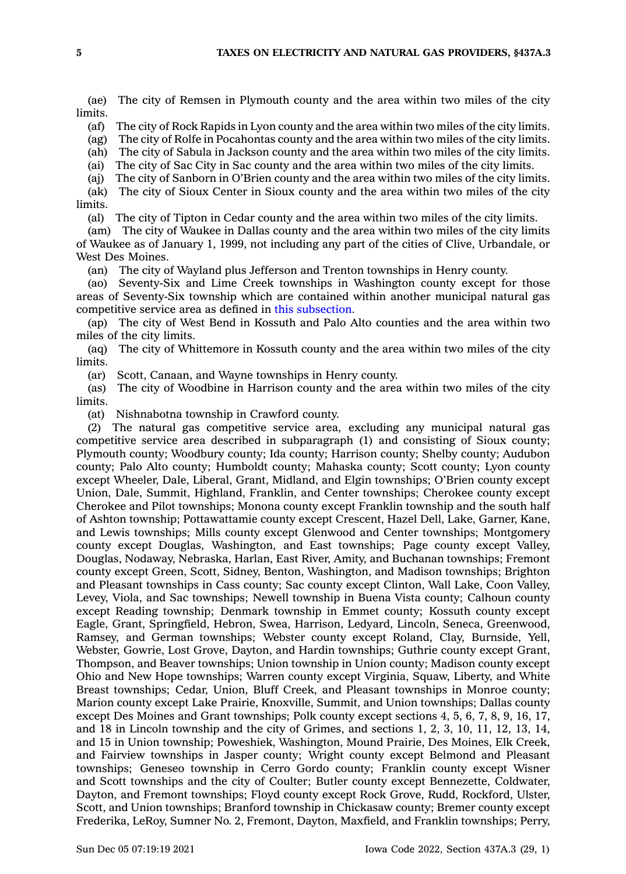(ae) The city of Remsen in Plymouth county and the area within two miles of the city limits.

(af) The city of Rock Rapids in Lyon county and the area within two miles of the city limits.

(ag) The city of Rolfe in Pocahontas county and the area within two miles of the city limits.

(ah) The city of Sabula in Jackson county and the area within two miles of the city limits.

(ai) The city of Sac City in Sac county and the area within two miles of the city limits.

(aj) The city of Sanborn in O'Brien county and the area within two miles of the city limits.

(ak) The city of Sioux Center in Sioux county and the area within two miles of the city limits.

(al) The city of Tipton in Cedar county and the area within two miles of the city limits.

(am) The city of Waukee in Dallas county and the area within two miles of the city limits of Waukee as of January 1, 1999, not including any part of the cities of Clive, Urbandale, or West Des Moines.

(an) The city of Wayland plus Jefferson and Trenton townships in Henry county.

(ao) Seventy-Six and Lime Creek townships in Washington county except for those areas of Seventy-Six township which are contained within another municipal natural gas competitive service area as defined in this [subsection](https://www.legis.iowa.gov/docs/code/437A.3.pdf).

(ap) The city of West Bend in Kossuth and Palo Alto counties and the area within two miles of the city limits.

(aq) The city of Whittemore in Kossuth county and the area within two miles of the city limits.

(ar) Scott, Canaan, and Wayne townships in Henry county.

(as) The city of Woodbine in Harrison county and the area within two miles of the city limits.

(at) Nishnabotna township in Crawford county.

(2) The natural gas competitive service area, excluding any municipal natural gas competitive service area described in subparagraph (1) and consisting of Sioux county; Plymouth county; Woodbury county; Ida county; Harrison county; Shelby county; Audubon county; Palo Alto county; Humboldt county; Mahaska county; Scott county; Lyon county except Wheeler, Dale, Liberal, Grant, Midland, and Elgin townships; O'Brien county except Union, Dale, Summit, Highland, Franklin, and Center townships; Cherokee county except Cherokee and Pilot townships; Monona county except Franklin township and the south half of Ashton township; Pottawattamie county except Crescent, Hazel Dell, Lake, Garner, Kane, and Lewis townships; Mills county except Glenwood and Center townships; Montgomery county except Douglas, Washington, and East townships; Page county except Valley, Douglas, Nodaway, Nebraska, Harlan, East River, Amity, and Buchanan townships; Fremont county except Green, Scott, Sidney, Benton, Washington, and Madison townships; Brighton and Pleasant townships in Cass county; Sac county except Clinton, Wall Lake, Coon Valley, Levey, Viola, and Sac townships; Newell township in Buena Vista county; Calhoun county except Reading township; Denmark township in Emmet county; Kossuth county except Eagle, Grant, Springfield, Hebron, Swea, Harrison, Ledyard, Lincoln, Seneca, Greenwood, Ramsey, and German townships; Webster county except Roland, Clay, Burnside, Yell, Webster, Gowrie, Lost Grove, Dayton, and Hardin townships; Guthrie county except Grant, Thompson, and Beaver townships; Union township in Union county; Madison county except Ohio and New Hope townships; Warren county except Virginia, Squaw, Liberty, and White Breast townships; Cedar, Union, Bluff Creek, and Pleasant townships in Monroe county; Marion county except Lake Prairie, Knoxville, Summit, and Union townships; Dallas county except Des Moines and Grant townships; Polk county except sections 4, 5, 6, 7, 8, 9, 16, 17, and 18 in Lincoln township and the city of Grimes, and sections 1, 2, 3, 10, 11, 12, 13, 14, and 15 in Union township; Poweshiek, Washington, Mound Prairie, Des Moines, Elk Creek, and Fairview townships in Jasper county; Wright county except Belmond and Pleasant townships; Geneseo township in Cerro Gordo county; Franklin county except Wisner and Scott townships and the city of Coulter; Butler county except Bennezette, Coldwater, Dayton, and Fremont townships; Floyd county except Rock Grove, Rudd, Rockford, Ulster, Scott, and Union townships; Branford township in Chickasaw county; Bremer county except Frederika, LeRoy, Sumner No. 2, Fremont, Dayton, Maxfield, and Franklin townships; Perry,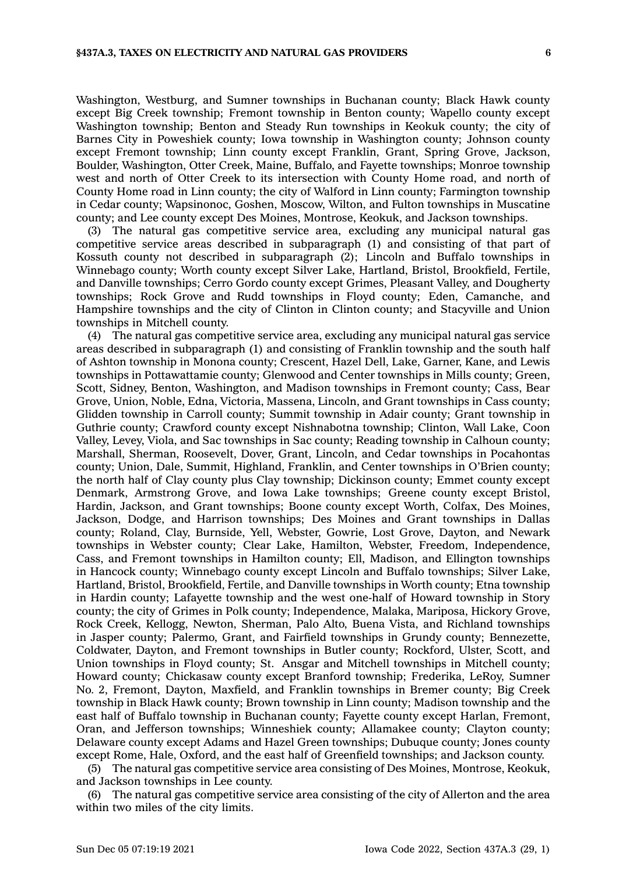Washington, Westburg, and Sumner townships in Buchanan county; Black Hawk county except Big Creek township; Fremont township in Benton county; Wapello county except Washington township; Benton and Steady Run townships in Keokuk county; the city of Barnes City in Poweshiek county; Iowa township in Washington county; Johnson county except Fremont township; Linn county except Franklin, Grant, Spring Grove, Jackson, Boulder, Washington, Otter Creek, Maine, Buffalo, and Fayette townships; Monroe township west and north of Otter Creek to its intersection with County Home road, and north of County Home road in Linn county; the city of Walford in Linn county; Farmington township in Cedar county; Wapsinonoc, Goshen, Moscow, Wilton, and Fulton townships in Muscatine county; and Lee county except Des Moines, Montrose, Keokuk, and Jackson townships.

(3) The natural gas competitive service area, excluding any municipal natural gas competitive service areas described in subparagraph (1) and consisting of that part of Kossuth county not described in subparagraph (2); Lincoln and Buffalo townships in Winnebago county; Worth county except Silver Lake, Hartland, Bristol, Brookfield, Fertile, and Danville townships; Cerro Gordo county except Grimes, Pleasant Valley, and Dougherty townships; Rock Grove and Rudd townships in Floyd county; Eden, Camanche, and Hampshire townships and the city of Clinton in Clinton county; and Stacyville and Union townships in Mitchell county.

(4) The natural gas competitive service area, excluding any municipal natural gas service areas described in subparagraph (1) and consisting of Franklin township and the south half of Ashton township in Monona county; Crescent, Hazel Dell, Lake, Garner, Kane, and Lewis townships in Pottawattamie county; Glenwood and Center townships in Mills county; Green, Scott, Sidney, Benton, Washington, and Madison townships in Fremont county; Cass, Bear Grove, Union, Noble, Edna, Victoria, Massena, Lincoln, and Grant townships in Cass county; Glidden township in Carroll county; Summit township in Adair county; Grant township in Guthrie county; Crawford county except Nishnabotna township; Clinton, Wall Lake, Coon Valley, Levey, Viola, and Sac townships in Sac county; Reading township in Calhoun county; Marshall, Sherman, Roosevelt, Dover, Grant, Lincoln, and Cedar townships in Pocahontas county; Union, Dale, Summit, Highland, Franklin, and Center townships in O'Brien county; the north half of Clay county plus Clay township; Dickinson county; Emmet county except Denmark, Armstrong Grove, and Iowa Lake townships; Greene county except Bristol, Hardin, Jackson, and Grant townships; Boone county except Worth, Colfax, Des Moines, Jackson, Dodge, and Harrison townships; Des Moines and Grant townships in Dallas county; Roland, Clay, Burnside, Yell, Webster, Gowrie, Lost Grove, Dayton, and Newark townships in Webster county; Clear Lake, Hamilton, Webster, Freedom, Independence, Cass, and Fremont townships in Hamilton county; Ell, Madison, and Ellington townships in Hancock county; Winnebago county except Lincoln and Buffalo townships; Silver Lake, Hartland, Bristol, Brookfield, Fertile, and Danville townships in Worth county; Etna township in Hardin county; Lafayette township and the west one-half of Howard township in Story county; the city of Grimes in Polk county; Independence, Malaka, Mariposa, Hickory Grove, Rock Creek, Kellogg, Newton, Sherman, Palo Alto, Buena Vista, and Richland townships in Jasper county; Palermo, Grant, and Fairfield townships in Grundy county; Bennezette, Coldwater, Dayton, and Fremont townships in Butler county; Rockford, Ulster, Scott, and Union townships in Floyd county; St. Ansgar and Mitchell townships in Mitchell county; Howard county; Chickasaw county except Branford township; Frederika, LeRoy, Sumner No. 2, Fremont, Dayton, Maxfield, and Franklin townships in Bremer county; Big Creek township in Black Hawk county; Brown township in Linn county; Madison township and the east half of Buffalo township in Buchanan county; Fayette county except Harlan, Fremont, Oran, and Jefferson townships; Winneshiek county; Allamakee county; Clayton county; Delaware county except Adams and Hazel Green townships; Dubuque county; Jones county except Rome, Hale, Oxford, and the east half of Greenfield townships; and Jackson county.

(5) The natural gas competitive service area consisting of Des Moines, Montrose, Keokuk, and Jackson townships in Lee county.

(6) The natural gas competitive service area consisting of the city of Allerton and the area within two miles of the city limits.